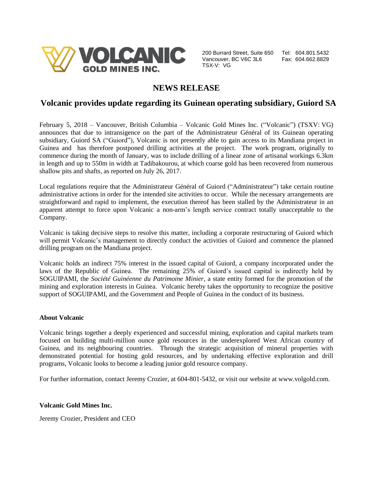

200 Burrard Street, Suite 650 Tel: 604.801.5432 Vancouver, BC V6C 3L6 Fax: 604.662.8829 TSX-V: VG

# **NEWS RELEASE**

## **Volcanic provides update regarding its Guinean operating subsidiary, Guiord SA**

February 5, 2018 – Vancouver, British Columbia – Volcanic Gold Mines Inc. ("Volcanic") (TSXV: VG) announces that due to intransigence on the part of the Administrateur Général of its Guinean operating subsidiary, Guiord SA ("Guiord"), Volcanic is not presently able to gain access to its Mandiana project in Guinea and has therefore postponed drilling activities at the project. The work program, originally to commence during the month of January, was to include drilling of a linear zone of artisanal workings 6.3km in length and up to 550m in width at Tadibakourou, at which coarse gold has been recovered from numerous shallow pits and shafts, as reported on July 26, 2017.

Local regulations require that the Administrateur Général of Guiord ("Administrateur") take certain routine administrative actions in order for the intended site activities to occur. While the necessary arrangements are straightforward and rapid to implement, the execution thereof has been stalled by the Administrateur in an apparent attempt to force upon Volcanic a non-arm's length service contract totally unacceptable to the Company.

Volcanic is taking decisive steps to resolve this matter, including a corporate restructuring of Guiord which will permit Volcanic's management to directly conduct the activities of Guiord and commence the planned drilling program on the Mandiana project.

Volcanic holds an indirect 75% interest in the issued capital of Guiord, a company incorporated under the laws of the Republic of Guinea. The remaining 25% of Guiord's issued capital is indirectly held by SOGUIPAMI, the *Société Guinéenne du Patrimoine Minier*, a state entity formed for the promotion of the mining and exploration interests in Guinea. Volcanic hereby takes the opportunity to recognize the positive support of SOGUIPAMI, and the Government and People of Guinea in the conduct of its business.

### **About Volcanic**

Volcanic brings together a deeply experienced and successful mining, exploration and capital markets team focused on building multi-million ounce gold resources in the underexplored West African country of Guinea, and its neighbouring countries. Through the strategic acquisition of mineral properties with demonstrated potential for hosting gold resources, and by undertaking effective exploration and drill programs, Volcanic looks to become a leading junior gold resource company.

For further information, contact Jeremy Crozier, at 604-801-5432, or visit our website at www.volgold.com.

### **Volcanic Gold Mines Inc.**

Jeremy Crozier, President and CEO